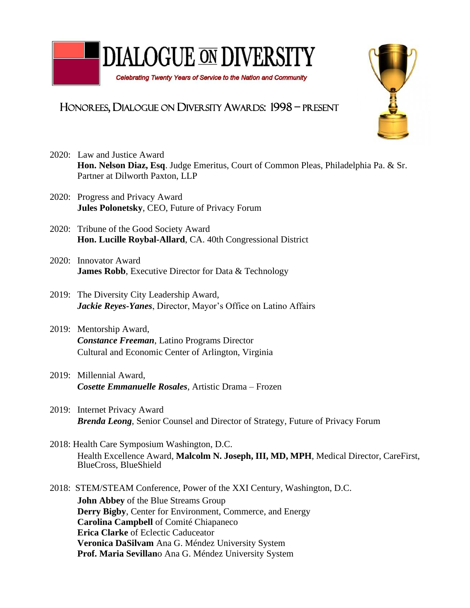

## HONOREES, DIALOGUE ON DIVERSITY AWARDS: 1998 – PRESENT



- 2020: Law and Justice Award **Hon. Nelson Diaz, Esq**. Judge Emeritus, Court of Common Pleas, Philadelphia Pa. & Sr. Partner at Dilworth Paxton, LLP
- 2020: Progress and Privacy Award **Jules Polonetsky**, CEO, Future of Privacy Forum
- 2020: Tribune of the Good Society Award **Hon. Lucille Roybal-Allard**, CA. 40th Congressional District
- 2020: Innovator Award **James Robb**, Executive Director for Data & Technology
- 2019: The Diversity City Leadership Award, *Jackie Reyes-Yanes*, Director, Mayor's Office on Latino Affairs
- 2019: Mentorship Award, *Constance Freeman*, Latino Programs Director Cultural and Economic Center of Arlington, Virginia
- 2019: Millennial Award, *Cosette Emmanuelle Rosales*, Artistic Drama – Frozen
- 2019: Internet Privacy Award *Brenda Leong*, Senior Counsel and Director of Strategy, Future of Privacy Forum
- 2018: Health Care Symposium Washington, D.C. Health Excellence Award, **Malcolm N. Joseph, III, MD, MPH**, Medical Director, CareFirst, BlueCross, BlueShield

2018: STEM/STEAM Conference, Power of the XXI Century, Washington, D.C. **John Abbey** of the Blue Streams Group **Derry Bigby**, Center for Environment, Commerce, and Energy **Carolina Campbell** of Comité Chiapaneco **Erica Clarke** of Eclectic Caduceator **Veronica DaSilvam** Ana G. Méndez University System **Prof. Maria Sevillan**o Ana G. Méndez University System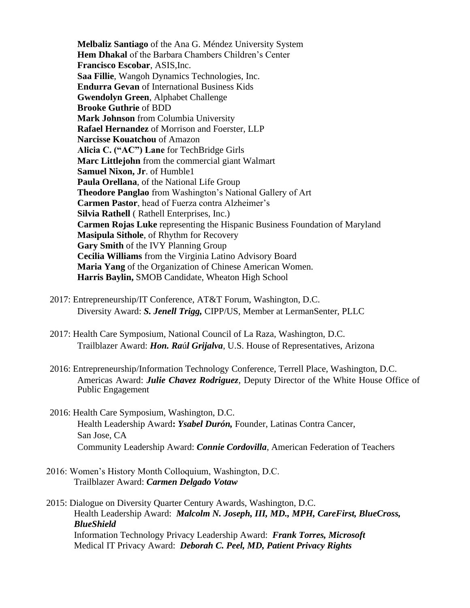**Melbaliz Santiago** of the Ana G. Méndez University System **Hem Dhakal** of the Barbara Chambers Children's Center **Francisco Escobar**, ASIS,Inc. **Saa Fillie**, Wangoh Dynamics Technologies, Inc. **Endurra Gevan** of International Business Kids **Gwendolyn Green**, Alphabet Challenge **Brooke Guthrie** of BDD **Mark Johnson** from Columbia University **Rafael Hernandez** of Morrison and Foerster, LLP **Narcisse Kouatchou** of Amazon **Alicia C. ("AC") Lane** for TechBridge Girls **Marc Littlejohn** from the commercial giant Walmart **Samuel Nixon, Jr**. of Humble1 **Paula Orellana**, of the National Life Group **Theodore Panglao** from Washington's National Gallery of Art **Carmen Pastor**, head of Fuerza contra Alzheimer's **Silvia Rathell** ( Rathell Enterprises, Inc.) **Carmen Rojas Luke** representing the Hispanic Business Foundation of Maryland **Masipula Sithole**, of Rhythm for Recovery **Gary Smith** of the IVY Planning Group **Cecilia Williams** from the Virginia Latino Advisory Board **Maria Yang** of the Organization of Chinese American Women. **Harris Baylin,** SMOB Candidate, Wheaton High School

- 2017: Entrepreneurship/IT Conference, AT&T Forum, Washington, D.C. Diversity Award: *S. Jenell Trigg,* CIPP/US, Member at LermanSenter, PLLC
- 2017: Health Care Symposium, National Council of La Raza, Washington, D.C. Trailblazer Award: *Hon. Ra*ú*l Grijalva*, U.S. House of Representatives, Arizona
- 2016: Entrepreneurship/Information Technology Conference, Terrell Place, Washington, D.C. Americas Award: *Julie Chavez Rodriguez*, Deputy Director of the White House Office of Public Engagement
- 2016: Health Care Symposium, Washington, D.C. Health Leadership Award**:** *Ysabel Durón,* Founder, Latinas Contra Cancer, San Jose, CA Community Leadership Award: *Connie Cordovilla*, American Federation of Teachers
- 2016: Women's History Month Colloquium, Washington, D.C. Trailblazer Award: *Carmen Delgado Votaw*

2015: Dialogue on Diversity Quarter Century Awards, Washington, D.C. Health Leadership Award: *Malcolm N. Joseph, III, MD., MPH, CareFirst, BlueCross, BlueShield* Information Technology Privacy Leadership Award: *Frank Torres, Microsoft* Medical IT Privacy Award: *Deborah C. Peel, MD, Patient Privacy Rights*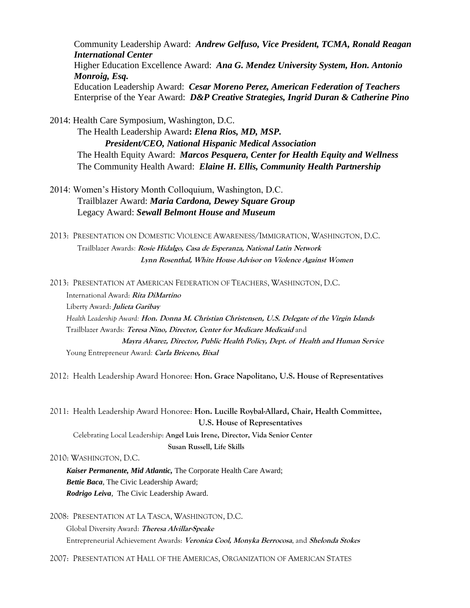Community Leadership Award: *Andrew Gelfuso, Vice President, TCMA, Ronald Reagan International Center* Higher Education Excellence Award: *Ana G. Mendez University System, Hon. Antonio Monroig, Esq.* Education Leadership Award: *Cesar Moreno Perez, American Federation of Teachers* Enterprise of the Year Award: *D&P Creative Strategies, Ingrid Duran & Catherine Pino*

2014: Health Care Symposium, Washington, D.C.

The Health Leadership Award**:** *Elena Rios, MD, MSP. President/CEO, National Hispanic Medical Association* The Health Equity Award: *Marcos Pesquera, Center for Health Equity and Wellness* The Community Health Award: *Elaine H. Ellis, Community Health Partnership*

## 2014: Women's History Month Colloquium, Washington, D.C. Trailblazer Award: *Maria Cardona, Dewey Square Group* Legacy Award: *Sewall Belmont House and Museum*

2013: PRESENTATION ON DOMESTIC VIOLENCE AWARENESS/IMMIGRATION, WASHINGTON, D.C. Trailblazer Awards*:* **Rosie Hidalgo, Casa de Esperanza, National Latin Network** **Lynn Rosenthal, White House Advisor on Violence Against Women** 

2013: PRESENTATION AT AMERICAN FEDERATION OF TEACHERS, WASHINGTON, D.C.

International Award: **Rita DiMartino** Liberty Award: **Julieta Garibay** *Health Leadership Award:* **Hon. Donna M. Christian Christensen, U.S. Delegate of the Virgin Islands** Trailblazer Awards*:* **Teresa Nino, Director, Center for Medicare Medicaid** and **Mayra Alvarez, Director, Public Health Policy, Dept. of Health and Human Service** Young Entrepreneur Award*:* **Carla Briceno, Bixal**

2012: Health Leadership Award Honoree: **Hon. Grace Napolitano, U.S. House of Representatives**

2011: Health Leadership Award Honoree: **Hon. Lucille Roybal-Allard, Chair, Health Committee, U.S. House of Representatives**

 Celebrating Local Leadership: **Angel Luis Irene, Director, Vida Senior Center Susan Russell, Life Skills**

## 2010: WASHINGTON, D.C.

*Kaiser Permanente, Mid Atlantic,* The Corporate Health Care Award; *Bettie Baca*, The Civic Leadership Award; *Rodrigo Leiva*, The Civic Leadership Award.

2008: PRESENTATION AT LA TASCA, WASHINGTON, D.C. Global Diversity Award: **Theresa Alvillar-Speake** Entrepreneurial Achievement Awards: **Veronica Cool, Monyka Berrocosa**, and **Shelonda Stokes**

2007: PRESENTATION AT HALL OF THE AMERICAS, ORGANIZATION OF AMERICAN STATES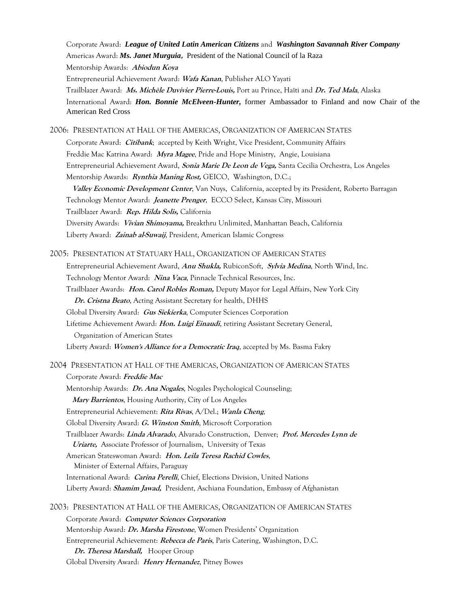Corporate Award: *League of United Latin American Citizens* and*Washington Savannah River Company* Americas Award: *Ms. Janet Murguia***,** President of the National Council of la Raza Mentorship Awards: **Abiodun Koya** Entrepreneurial Achievement Award: **Wafa Kanan**, Publisher ALO Yayati Trailblazer Award: **Ms. Michèle Duvivier Pierre-Louis,** Port au Prince, Haïti and **Dr. Ted Mala**, Alaska International Award: *Hon. Bonnie McElveen-Hunter,* former Ambassador to Finland and now Chair of the American Red Cross

2006: PRESENTATION AT HALL OF THE AMERICAS, ORGANIZATION OF AMERICAN STATES

Corporate Award: **Citibank**; accepted by Keith Wright, Vice President, Community Affairs Freddie Mac Katrina Award: **Myra Magee**, Pride and Hope Ministry, Angie, Louisiana Entrepreneurial Achievement Award, **Sonia Marie De Leon de Vega,** Santa Cecilia Orchestra, Los Angeles Mentorship Awards: **Rynthia Maning Rost,** GEICO, Washington, D.C.;  **Valley Economic Development Center**, Van Nuys, California, accepted by its President, Roberto Barragan Technology Mentor Award: **Jeanette Prenger**, ECCO Select, Kansas City, Missouri Trailblazer Award: **Rep. Hilda Solis,** California Diversity Awards: **Vivian Shimoyama,** Breakthru Unlimited, Manhattan Beach, California Liberty Award: **Zainab al-Suwaij**, President, American Islamic Congress

2005: PRESENTATION AT STATUARY HALL, ORGANIZATION OF AMERICAN STATES

Entrepreneurial Achievement Award, **Anu Shukla,** RubiconSoft, **Sylvia Medina**, North Wind, Inc. Technology Mentor Award: **Nina Vaca**, Pinnacle Technical Resources, Inc. Trailblazer Awards: **Hon. Carol Robles Roman,** Deputy Mayor for Legal Affairs, New York City  **Dr. Cristna Beato**, Acting Assistant Secretary for health, DHHS Global Diversity Award: **Gus Siekierka**, Computer Sciences Corporation Lifetime Achievement Award: **Hon. Luigi Einaudi**, retiring Assistant Secretary General, Organization of American States Liberty Award: **Women's Alliance for a Democratic Iraq**, accepted by Ms. Basma Fakry 2004 PRESENTATION AT HALL OF THE AMERICAS, ORGANIZATION OF AMERICAN STATES Corporate Award: **Freddie Mac** Mentorship Awards: **Dr. Ana Nogales**, Nogales Psychological Counseling; **Mary Barrientos**, Housing Authority, City of Los Angeles

Entrepreneurial Achievement: **Rita Rivas**, A/Del.; **Wanla Cheng**,

Global Diversity Award: **G. Winston Smith**, Microsoft Corporation

Trailblazer Awards: **Linda Alvarado**, Alvarado Construction, Denver; **Prof. Mercedes Lynn de Uriarte,** Associate Professor of Journalism, University of Texas

American Stateswoman Award: **Hon. Leila Teresa Rachid Cowles**, Minister of External Affairs, Paraguay

International Award: **Carina Perelli**, Chief, Elections Division, United Nations Liberty Award: **Shamim Jawad,** President, Aschiana Foundation, Embassy of Afghanistan

2003: PRESENTATION AT HALL OF THE AMERICAS, ORGANIZATION OF AMERICAN STATES

Corporate Award: **Computer Sciences Corporation** Mentorship Award: **Dr. Marsha Firestone**, Women Presidents' Organization Entrepreneurial Achievement: **Rebecca de Paris**, Paris Catering, Washington, D.C.  **Dr. Theresa Marshall,** Hooper Group Global Diversity Award: **Henry Hernandez**, Pitney Bowes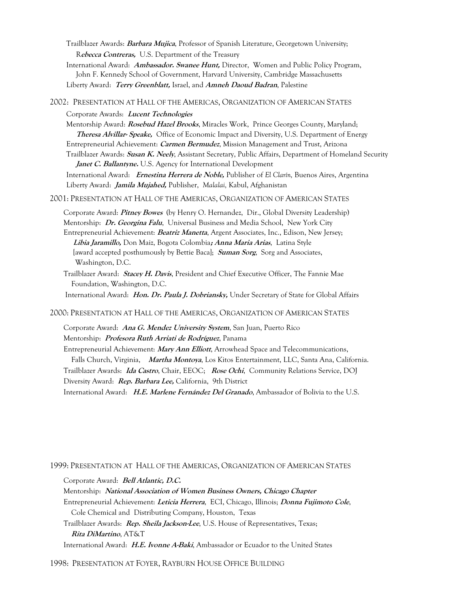- Trailblazer Awards: **Barbara Mujica**, Professor of Spanish Literature, Georgetown University; R**ebecca Contreras,** U.S. Department of the Treasury
- International Award: **Ambassador. Swanee Hunt,** Director, Women and Public Policy Program, John F. Kennedy School of Government, Harvard University, Cambridge Massachusetts Liberty Award: **Terry Greenblatt,** Israel, and **Amneh Daoud Badran**, Palestine

2002: PRESENTATION AT HALL OF THE AMERICAS, ORGANIZATION OF AMERICAN STATES

Corporate Awards: **Lucent Technologies**

- Mentorship Award: **Rosebud Hazel Brooks**, Miracles Work, Prince Georges County, Maryland; **Theresa Alvillar- Speake,** Office of Economic Impact and Diversity, U.S. Department of Energy Entrepreneurial Achievement: **Carmen Bermudez**, Mission Management and Trust, Arizona
- Trailblazer Awards: **Susan K. Neely**, Assistant Secretary, Public Affairs, Department of Homeland Security **Janet C. Ballantyne.** U.S. Agency for International Development
- International Award: **Ernestina Herrera de Noble,** Publisher of *El Clarín,* Buenos Aires, Argentina Liberty Award: **Jamila Mujahed,** Publisher, *Malalai,* Kabul, Afghanistan
- 2001: PRESENTATION AT HALL OF THE AMERICAS, ORGANIZATION OF AMERICAN STATES
	- Corporate Award: **Pitney Bowes** (by Henry O. Hernandez, Dir., Global Diversity Leadership) Mentorship: **Dr. Georgina Falu**, Universal Business and Media School, New York City
	- Entrepreneurial Achievement: **Beatriz Manetta**, Argent Associates, Inc., Edison, New Jersey;  **Libia Jaramillo,** Don Maiz, Bogota Colombia**; Anna Maria Arias**, Latina Style [award accepted posthumously by Bettie Baca]; **Suman Sorg**, Sorg and Associates, Washington, D.C.
	- Trailblazer Award: **Stacey H. Davis**, President and Chief Executive Officer, The Fannie Mae Foundation, Washington, D.C.
	- International Award: **Hon. Dr. Paula J. Dobriansky,** Under Secretary of State for Global Affairs

## 2000: PRESENTATION AT HALL OF THE AMERICAS, ORGANIZATION OF AMERICAN STATES

Corporate Award: **Ana G. Mendez University System**, San Juan, Puerto Rico Mentorship: **Profesora Ruth Arriati de Rodríguez**, Panama Entrepreneurial Achievement: **Mary Ann Elliott**, Arrowhead Space and Telecommunications, Falls Church, Virginia, **Martha Montoya**, Los Kitos Entertainment, LLC, Santa Ana, California. Trailblazer Awards: **Ida Castro**, Chair, EEOC; **Rose Ochi**, Community Relations Service, DOJ Diversity Award: **Rep. Barbara Lee,** California, 9th District International Award: **H.E. Marlene Fernández Del Granado**, Ambassador of Bolivia to the U.S.

1999: PRESENTATION AT HALL OF THE AMERICAS, ORGANIZATION OF AMERICAN STATES

Corporate Award: **Bell Atlantic, D.C.** Mentorship: **National Association of Women Business Owners, Chicago Chapter** Entrepreneurial Achievement: **Leticia Herrera**, ECI, Chicago, Illinois; **Donna Fujimoto Cole**, Cole Chemical and Distributing Company, Houston, Texas Trailblazer Awards: **Rep. Sheila Jackson-Lee**, U.S. House of Representatives, Texas; **Rita DiMartino**, AT&T

International Award: **H.E. Ivonne A-Baki**, Ambassador or Ecuador to the United States

1998: PRESENTATION AT FOYER, RAYBURN HOUSE OFFICE BUILDING